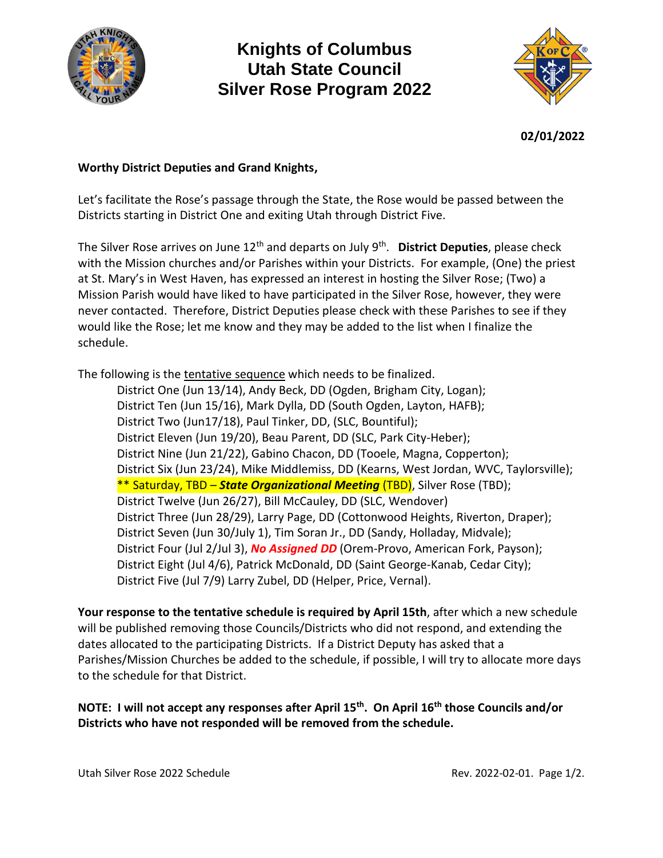

## **Knights of Columbus Utah State Council Silver Rose Program 2022**



**02/01/2022**

### **Worthy District Deputies and Grand Knights,**

Let's facilitate the Rose's passage through the State, the Rose would be passed between the Districts starting in District One and exiting Utah through District Five.

The Silver Rose arrives on June 12th and departs on July 9th . **District Deputies**, please check with the Mission churches and/or Parishes within your Districts. For example, (One) the priest at St. Mary's in West Haven, has expressed an interest in hosting the Silver Rose; (Two) a Mission Parish would have liked to have participated in the Silver Rose, however, they were never contacted. Therefore, District Deputies please check with these Parishes to see if they would like the Rose; let me know and they may be added to the list when I finalize the schedule.

The following is the tentative sequence which needs to be finalized.

District One (Jun 13/14), Andy Beck, DD (Ogden, Brigham City, Logan); District Ten (Jun 15/16), Mark Dylla, DD (South Ogden, Layton, HAFB); District Two (Jun17/18), Paul Tinker, DD, (SLC, Bountiful); District Eleven (Jun 19/20), Beau Parent, DD (SLC, Park City-Heber); District Nine (Jun 21/22), Gabino Chacon, DD (Tooele, Magna, Copperton); District Six (Jun 23/24), Mike Middlemiss, DD (Kearns, West Jordan, WVC, Taylorsville); \*\* Saturday, TBD – *State Organizational Meeting* (TBD), Silver Rose (TBD); District Twelve (Jun 26/27), Bill McCauley, DD (SLC, Wendover) District Three (Jun 28/29), Larry Page, DD (Cottonwood Heights, Riverton, Draper); District Seven (Jun 30/July 1), Tim Soran Jr., DD (Sandy, Holladay, Midvale); District Four (Jul 2/Jul 3), *No Assigned DD* (Orem-Provo, American Fork, Payson); District Eight (Jul 4/6), Patrick McDonald, DD (Saint George-Kanab, Cedar City); District Five (Jul 7/9) Larry Zubel, DD (Helper, Price, Vernal).

**Your response to the tentative schedule is required by April 15th**, after which a new schedule will be published removing those Councils/Districts who did not respond, and extending the dates allocated to the participating Districts. If a District Deputy has asked that a Parishes/Mission Churches be added to the schedule, if possible, I will try to allocate more days to the schedule for that District.

**NOTE: I will not accept any responses after April 15th. On April 16th those Councils and/or Districts who have not responded will be removed from the schedule.**